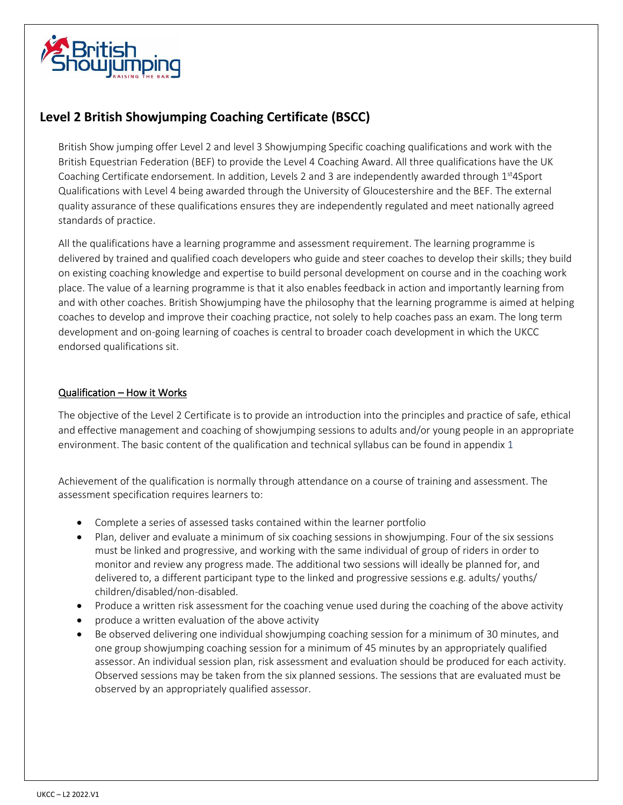

# **Level 2 British Showjumping Coaching Certificate (BSCC)**

British Show jumping offer Level 2 and level 3 Showjumping Specific coaching qualifications and work with the British Equestrian Federation (BEF) to provide the Level 4 Coaching Award. All three qualifications have the UK Coaching Certificate endorsement. In addition, Levels 2 and 3 are independently awarded through  $1<sup>st</sup>4Sport$ Qualifications with Level 4 being awarded through the University of Gloucestershire and the BEF. The external quality assurance of these qualifications ensures they are independently regulated and meet nationally agreed standards of practice.

All the qualifications have a learning programme and assessment requirement. The learning programme is delivered by trained and qualified coach developers who guide and steer coaches to develop their skills; they build on existing coaching knowledge and expertise to build personal development on course and in the coaching work place. The value of a learning programme is that it also enables feedback in action and importantly learning from and with other coaches. British Showjumping have the philosophy that the learning programme is aimed at helping coaches to develop and improve their coaching practice, not solely to help coaches pass an exam. The long term development and on-going learning of coaches is central to broader coach development in which the UKCC endorsed qualifications sit.

### Qualification – How it Works

The objective of the Level 2 Certificate is to provide an introduction into the principles and practice of safe, ethical and effective management and coaching of showjumping sessions to adults and/or young people in an appropriate environment. The basic content of the qualification and technical syllabus can be found in appendix 1

Achievement of the qualification is normally through attendance on a course of training and assessment. The assessment specification requires learners to:

- Complete a series of assessed tasks contained within the learner portfolio
- Plan, deliver and evaluate a minimum of six coaching sessions in showjumping. Four of the six sessions must be linked and progressive, and working with the same individual of group of riders in order to monitor and review any progress made. The additional two sessions will ideally be planned for, and delivered to, a different participant type to the linked and progressive sessions e.g. adults/ youths/ children/disabled/non-disabled.
- Produce a written risk assessment for the coaching venue used during the coaching of the above activity
- produce a written evaluation of the above activity
- Be observed delivering one individual showjumping coaching session for a minimum of 30 minutes, and one group showjumping coaching session for a minimum of 45 minutes by an appropriately qualified assessor. An individual session plan, risk assessment and evaluation should be produced for each activity. Observed sessions may be taken from the six planned sessions. The sessions that are evaluated must be observed by an appropriately qualified assessor.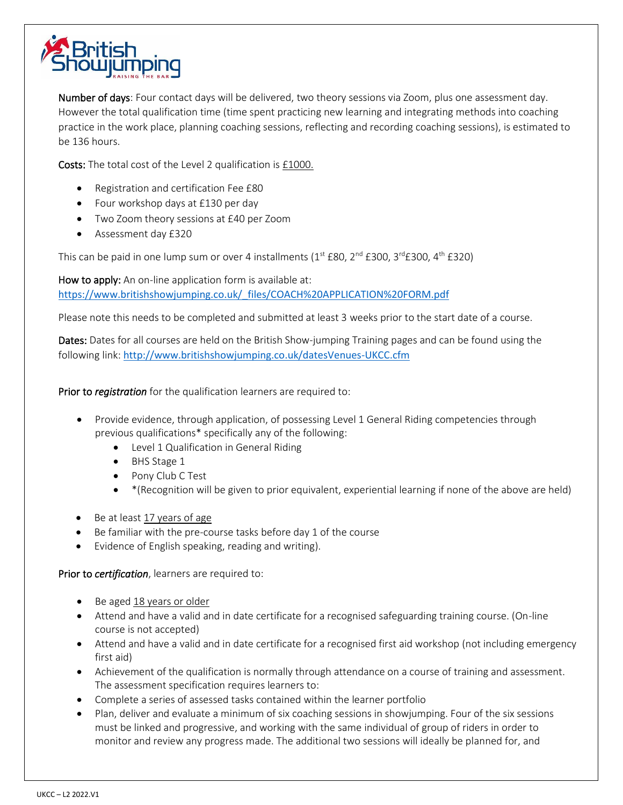

Number of days: Four contact days will be delivered, two theory sessions via Zoom, plus one assessment day. However the total qualification time (time spent practicing new learning and integrating methods into coaching practice in the work place, planning coaching sessions, reflecting and recording coaching sessions), is estimated to be 136 hours.

Costs: The total cost of the Level 2 qualification is £1000.

- Registration and certification Fee £80
- Four workshop days at £130 per day
- Two Zoom theory sessions at £40 per Zoom
- Assessment day £320

This can be paid in one lump sum or over 4 installments  $(1<sup>st</sup> E80, 2<sup>nd</sup> E300, 3<sup>rd</sup> E300, 4<sup>th</sup> E320)$ 

How to apply: An on-line application form is available at: [https://www.britishshowjumping.co.uk/\\_files/COACH%20APPLICATION%20FORM.pdf](https://www.britishshowjumping.co.uk/_files/COACH%20APPLICATION%20FORM.pdf)

Please note this needs to be completed and submitted at least 3 weeks prior to the start date of a course.

Dates: Dates for all courses are held on the British Show-jumping Training pages and can be found using the following link: <http://www.britishshowjumping.co.uk/datesVenues-UKCC.cfm>

Prior to *registration* for the qualification learners are required to:

- Provide evidence, through application, of possessing Level 1 General Riding competencies through previous qualifications\* specifically any of the following:
	- Level 1 Qualification in General Riding
	- BHS Stage 1
	- Pony Club C Test
	- \*(Recognition will be given to prior equivalent, experiential learning if none of the above are held)
- Be at least 17 years of age
- Be familiar with the pre-course tasks before day 1 of the course
- Evidence of English speaking, reading and writing).

Prior to *certification*, learners are required to:

- Be aged 18 years or older
- Attend and have a valid and in date certificate for a recognised safeguarding training course. (On-line course is not accepted)
- Attend and have a valid and in date certificate for a recognised first aid workshop (not including emergency first aid)
- Achievement of the qualification is normally through attendance on a course of training and assessment. The assessment specification requires learners to:
- Complete a series of assessed tasks contained within the learner portfolio
- Plan, deliver and evaluate a minimum of six coaching sessions in showjumping. Four of the six sessions must be linked and progressive, and working with the same individual of group of riders in order to monitor and review any progress made. The additional two sessions will ideally be planned for, and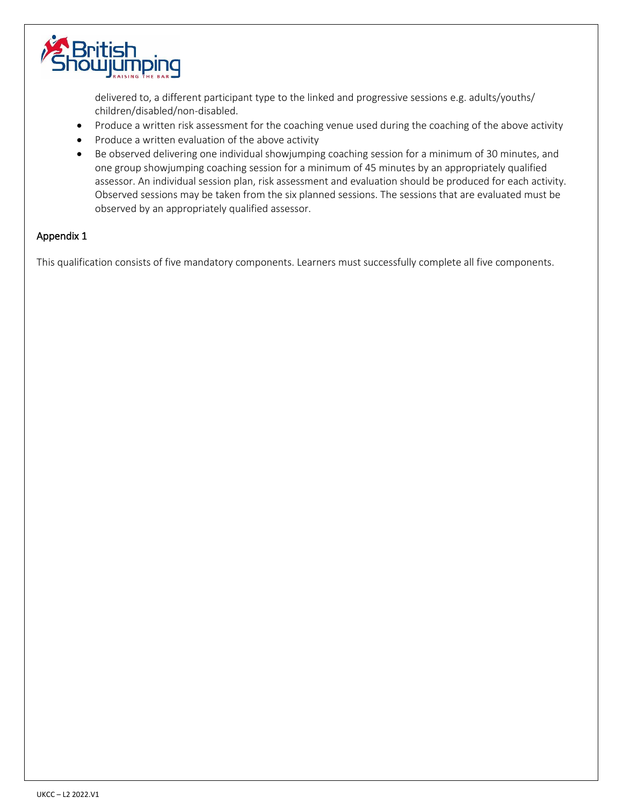

delivered to, a different participant type to the linked and progressive sessions e.g. adults/youths/ children/disabled/non-disabled.

- Produce a written risk assessment for the coaching venue used during the coaching of the above activity
- Produce a written evaluation of the above activity
- Be observed delivering one individual showjumping coaching session for a minimum of 30 minutes, and one group showjumping coaching session for a minimum of 45 minutes by an appropriately qualified assessor. An individual session plan, risk assessment and evaluation should be produced for each activity. Observed sessions may be taken from the six planned sessions. The sessions that are evaluated must be observed by an appropriately qualified assessor.

### Appendix 1

This qualification consists of five mandatory components. Learners must successfully complete all five components.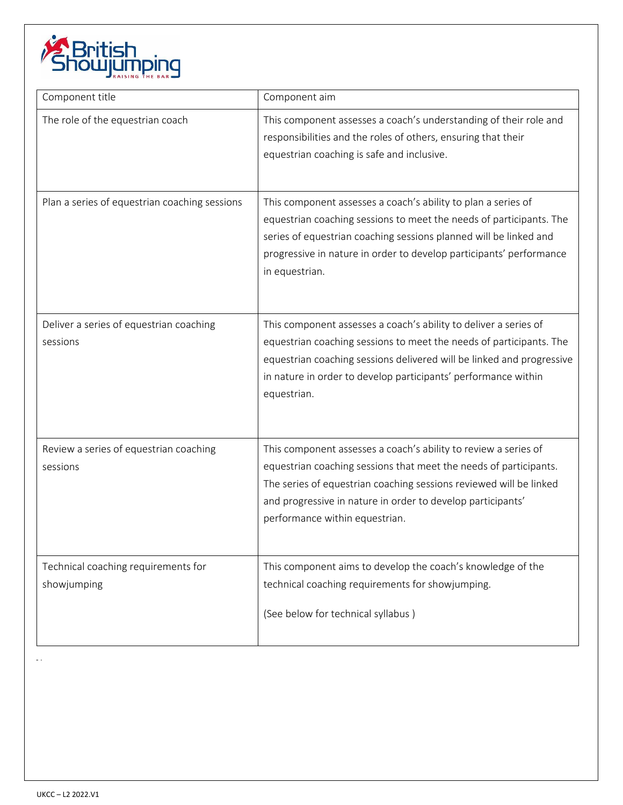

| Component title                                     | Component aim                                                                                                                                                                                                                                                                                               |
|-----------------------------------------------------|-------------------------------------------------------------------------------------------------------------------------------------------------------------------------------------------------------------------------------------------------------------------------------------------------------------|
| The role of the equestrian coach                    | This component assesses a coach's understanding of their role and<br>responsibilities and the roles of others, ensuring that their<br>equestrian coaching is safe and inclusive.                                                                                                                            |
| Plan a series of equestrian coaching sessions       | This component assesses a coach's ability to plan a series of<br>equestrian coaching sessions to meet the needs of participants. The<br>series of equestrian coaching sessions planned will be linked and<br>progressive in nature in order to develop participants' performance<br>in equestrian.          |
| Deliver a series of equestrian coaching<br>sessions | This component assesses a coach's ability to deliver a series of<br>equestrian coaching sessions to meet the needs of participants. The<br>equestrian coaching sessions delivered will be linked and progressive<br>in nature in order to develop participants' performance within<br>equestrian.           |
| Review a series of equestrian coaching<br>sessions  | This component assesses a coach's ability to review a series of<br>equestrian coaching sessions that meet the needs of participants.<br>The series of equestrian coaching sessions reviewed will be linked<br>and progressive in nature in order to develop participants'<br>performance within equestrian. |
| Technical coaching requirements for<br>showjumping  | This component aims to develop the coach's knowledge of the<br>technical coaching requirements for showjumping.<br>(See below for technical syllabus)                                                                                                                                                       |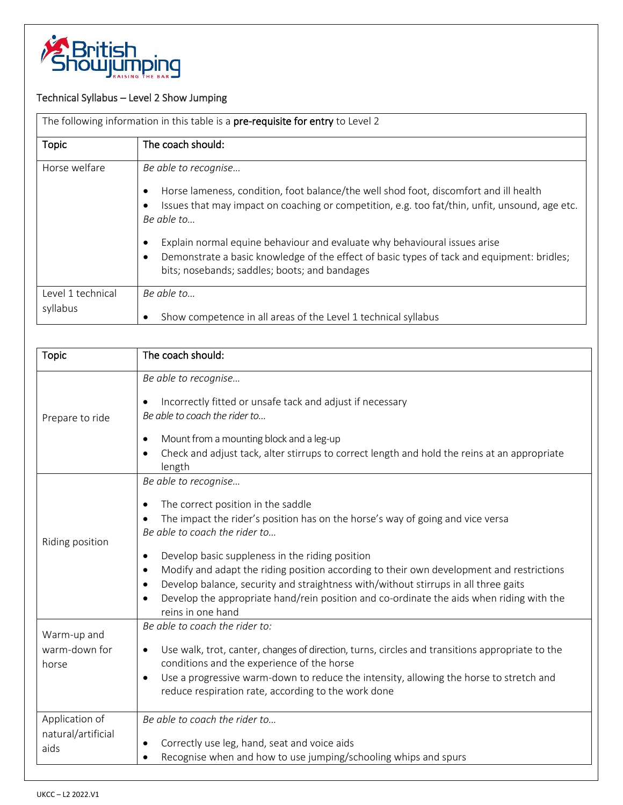

## Technical Syllabus – Level 2 Show Jumping

|                               | The following information in this table is a pre-requisite for entry to Level 2                                                                                                                                                                                                                                                                                                                                                                           |
|-------------------------------|-----------------------------------------------------------------------------------------------------------------------------------------------------------------------------------------------------------------------------------------------------------------------------------------------------------------------------------------------------------------------------------------------------------------------------------------------------------|
| <b>Topic</b>                  | The coach should:                                                                                                                                                                                                                                                                                                                                                                                                                                         |
| Horse welfare                 | Be able to recognise<br>Horse lameness, condition, foot balance/the well shod foot, discomfort and ill health<br>Issues that may impact on coaching or competition, e.g. too fat/thin, unfit, unsound, age etc.<br>Be able to<br>Explain normal equine behaviour and evaluate why behavioural issues arise<br>Demonstrate a basic knowledge of the effect of basic types of tack and equipment: bridles;<br>bits; nosebands; saddles; boots; and bandages |
| Level 1 technical<br>syllabus | $Be$ able to<br>Show competence in all areas of the Level 1 technical syllabus                                                                                                                                                                                                                                                                                                                                                                            |

| <b>Topic</b>                                 | The coach should:                                                                                                                                                                                                                                                                                                                                                                                                                                                                                                                                                   |
|----------------------------------------------|---------------------------------------------------------------------------------------------------------------------------------------------------------------------------------------------------------------------------------------------------------------------------------------------------------------------------------------------------------------------------------------------------------------------------------------------------------------------------------------------------------------------------------------------------------------------|
| Prepare to ride                              | Be able to recognise<br>Incorrectly fitted or unsafe tack and adjust if necessary<br>Be able to coach the rider to<br>Mount from a mounting block and a leg-up<br>$\bullet$<br>Check and adjust tack, alter stirrups to correct length and hold the reins at an appropriate<br>length                                                                                                                                                                                                                                                                               |
| Riding position                              | Be able to recognise<br>The correct position in the saddle<br>The impact the rider's position has on the horse's way of going and vice versa<br>Be able to coach the rider to<br>Develop basic suppleness in the riding position<br>٠<br>Modify and adapt the riding position according to their own development and restrictions<br>$\bullet$<br>Develop balance, security and straightness with/without stirrups in all three gaits<br>$\bullet$<br>Develop the appropriate hand/rein position and co-ordinate the aids when riding with the<br>reins in one hand |
| Warm-up and<br>warm-down for<br>horse        | Be able to coach the rider to:<br>Use walk, trot, canter, changes of direction, turns, circles and transitions appropriate to the<br>conditions and the experience of the horse<br>Use a progressive warm-down to reduce the intensity, allowing the horse to stretch and<br>$\bullet$<br>reduce respiration rate, according to the work done                                                                                                                                                                                                                       |
| Application of<br>natural/artificial<br>aids | Be able to coach the rider to<br>Correctly use leg, hand, seat and voice aids<br>$\bullet$<br>Recognise when and how to use jumping/schooling whips and spurs                                                                                                                                                                                                                                                                                                                                                                                                       |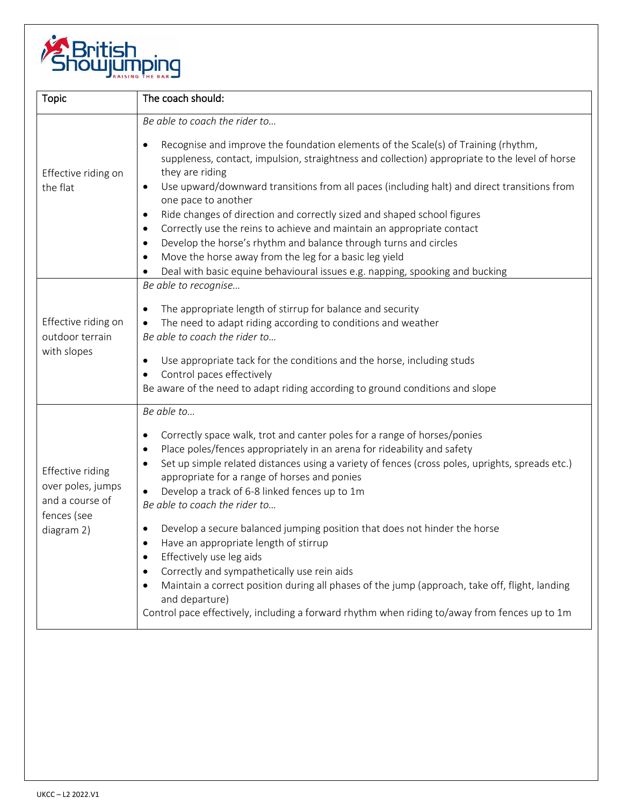

| <b>Topic</b>                                                                          | The coach should:                                                                                                                                                                                                                                                                                                                                                                                                                                                                                                                                                                                                                                                                                                                                                                                                                                                        |
|---------------------------------------------------------------------------------------|--------------------------------------------------------------------------------------------------------------------------------------------------------------------------------------------------------------------------------------------------------------------------------------------------------------------------------------------------------------------------------------------------------------------------------------------------------------------------------------------------------------------------------------------------------------------------------------------------------------------------------------------------------------------------------------------------------------------------------------------------------------------------------------------------------------------------------------------------------------------------|
| Effective riding on<br>the flat                                                       | Be able to coach the rider to<br>Recognise and improve the foundation elements of the Scale(s) of Training (rhythm,<br>$\bullet$<br>suppleness, contact, impulsion, straightness and collection) appropriate to the level of horse<br>they are riding<br>Use upward/downward transitions from all paces (including halt) and direct transitions from<br>$\bullet$<br>one pace to another<br>Ride changes of direction and correctly sized and shaped school figures<br>$\bullet$<br>Correctly use the reins to achieve and maintain an appropriate contact<br>$\bullet$<br>Develop the horse's rhythm and balance through turns and circles<br>$\bullet$<br>Move the horse away from the leg for a basic leg yield<br>Deal with basic equine behavioural issues e.g. napping, spooking and bucking                                                                       |
| Effective riding on<br>outdoor terrain<br>with slopes                                 | Be able to recognise<br>The appropriate length of stirrup for balance and security<br>$\bullet$<br>The need to adapt riding according to conditions and weather<br>$\bullet$<br>Be able to coach the rider to<br>Use appropriate tack for the conditions and the horse, including studs<br>$\bullet$<br>Control paces effectively<br>Be aware of the need to adapt riding according to ground conditions and slope                                                                                                                                                                                                                                                                                                                                                                                                                                                       |
| Effective riding<br>over poles, jumps<br>and a course of<br>fences (see<br>diagram 2) | Be able to<br>Correctly space walk, trot and canter poles for a range of horses/ponies<br>٠<br>Place poles/fences appropriately in an arena for rideability and safety<br>$\bullet$<br>Set up simple related distances using a variety of fences (cross poles, uprights, spreads etc.)<br>appropriate for a range of horses and ponies<br>Develop a track of 6-8 linked fences up to 1m<br>Be able to coach the rider to<br>Develop a secure balanced jumping position that does not hinder the horse<br>Have an appropriate length of stirrup<br>Effectively use leg aids<br>$\bullet$<br>Correctly and sympathetically use rein aids<br>$\bullet$<br>Maintain a correct position during all phases of the jump (approach, take off, flight, landing<br>and departure)<br>Control pace effectively, including a forward rhythm when riding to/away from fences up to 1m |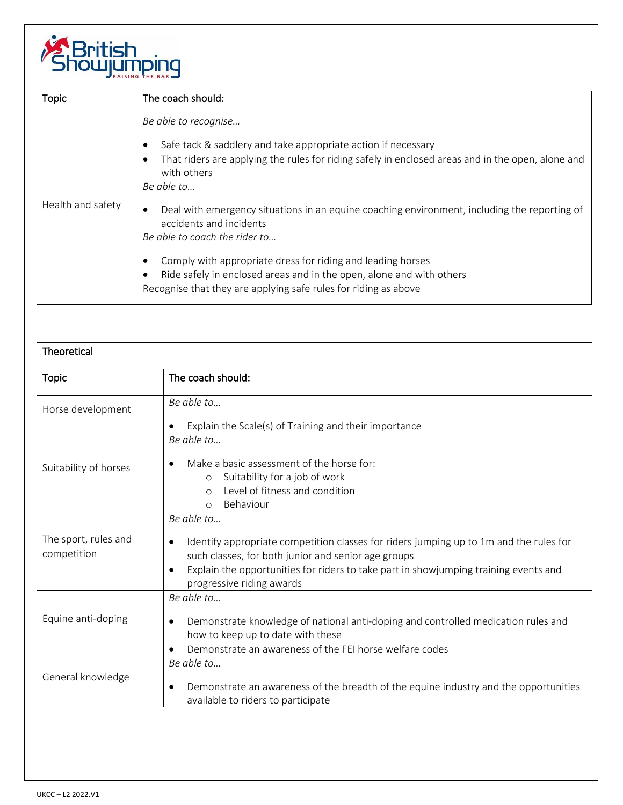

| <b>Topic</b>      | The coach should:                                                                                                                                                                                                                                                                                                                                                                                                                                                                                                                                                                             |
|-------------------|-----------------------------------------------------------------------------------------------------------------------------------------------------------------------------------------------------------------------------------------------------------------------------------------------------------------------------------------------------------------------------------------------------------------------------------------------------------------------------------------------------------------------------------------------------------------------------------------------|
| Health and safety | Be able to recognise<br>Safe tack & saddlery and take appropriate action if necessary<br>That riders are applying the rules for riding safely in enclosed areas and in the open, alone and<br>with others<br>Be able to<br>Deal with emergency situations in an equine coaching environment, including the reporting of<br>accidents and incidents<br>Be able to coach the rider to<br>Comply with appropriate dress for riding and leading horses<br>Ride safely in enclosed areas and in the open, alone and with others<br>Recognise that they are applying safe rules for riding as above |

| Theoretical                         |                                                                                                                                                                                                                                                                                                            |
|-------------------------------------|------------------------------------------------------------------------------------------------------------------------------------------------------------------------------------------------------------------------------------------------------------------------------------------------------------|
| <b>Topic</b>                        | The coach should:                                                                                                                                                                                                                                                                                          |
| Horse development                   | Be able to<br>Explain the Scale(s) of Training and their importance<br>٠                                                                                                                                                                                                                                   |
| Suitability of horses               | $Be$ able to<br>Make a basic assessment of the horse for:<br>Suitability for a job of work<br>$\circ$<br>Level of fitness and condition<br>$\bigcirc$<br>Behaviour<br>$\Omega$                                                                                                                             |
| The sport, rules and<br>competition | Be able to<br>Identify appropriate competition classes for riders jumping up to 1m and the rules for<br>$\bullet$<br>such classes, for both junior and senior age groups<br>Explain the opportunities for riders to take part in showjumping training events and<br>$\bullet$<br>progressive riding awards |
| Equine anti-doping                  | Be able to<br>Demonstrate knowledge of national anti-doping and controlled medication rules and<br>$\bullet$<br>how to keep up to date with these<br>Demonstrate an awareness of the FEI horse welfare codes                                                                                               |
| General knowledge                   | Be able to<br>Demonstrate an awareness of the breadth of the equine industry and the opportunities<br>$\bullet$<br>available to riders to participate                                                                                                                                                      |